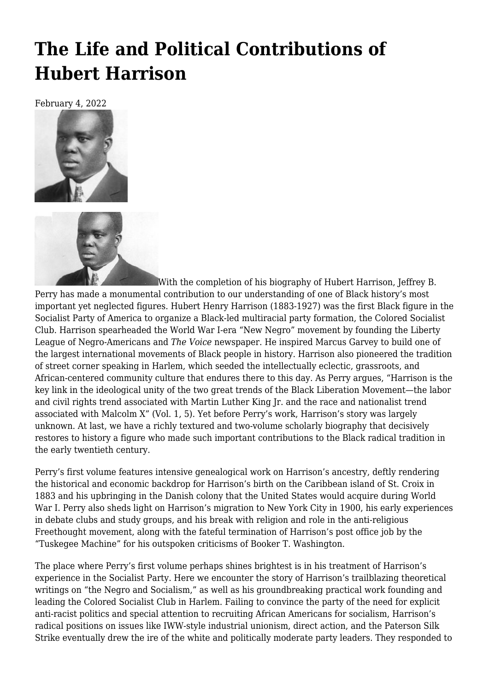## **[The Life and Political Contributions of](https://newpol.org/review/the-life-and-political-contributions-of-hubert-harrison/) [Hubert Harrison](https://newpol.org/review/the-life-and-political-contributions-of-hubert-harrison/)**

February 4, 2022





With the completion of his biography of Hubert Harrison, Jeffrey B. Perry has made a monumental contribution to our understanding of one of Black history's most important yet neglected figures. Hubert Henry Harrison (1883-1927) was the first Black figure in the Socialist Party of America to organize a Black-led multiracial party formation, the Colored Socialist Club. Harrison spearheaded the World War I-era "New Negro" movement by founding the Liberty League of Negro-Americans and *The Voice* newspaper. He inspired Marcus Garvey to build one of the largest international movements of Black people in history. Harrison also pioneered the tradition of street corner speaking in Harlem, which seeded the intellectually eclectic, grassroots, and African-centered community culture that endures there to this day. As Perry argues, "Harrison is the key link in the ideological unity of the two great trends of the Black Liberation Movement—the labor and civil rights trend associated with Martin Luther King Jr. and the race and nationalist trend associated with Malcolm X" (Vol. 1, 5). Yet before Perry's work, Harrison's story was largely unknown. At last, we have a richly textured and two-volume scholarly biography that decisively restores to history a figure who made such important contributions to the Black radical tradition in the early twentieth century.

Perry's first volume features intensive genealogical work on Harrison's ancestry, deftly rendering the historical and economic backdrop for Harrison's birth on the Caribbean island of St. Croix in 1883 and his upbringing in the Danish colony that the United States would acquire during World War I. Perry also sheds light on Harrison's migration to New York City in 1900, his early experiences in debate clubs and study groups, and his break with religion and role in the anti-religious Freethought movement, along with the fateful termination of Harrison's post office job by the "Tuskegee Machine" for his outspoken criticisms of Booker T. Washington.

The place where Perry's first volume perhaps shines brightest is in his treatment of Harrison's experience in the Socialist Party. Here we encounter the story of Harrison's trailblazing theoretical writings on "the Negro and Socialism," as well as his groundbreaking practical work founding and leading the Colored Socialist Club in Harlem. Failing to convince the party of the need for explicit anti-racist politics and special attention to recruiting African Americans for socialism, Harrison's radical positions on issues like IWW-style industrial unionism, direct action, and the Paterson Silk Strike eventually drew the ire of the white and politically moderate party leaders. They responded to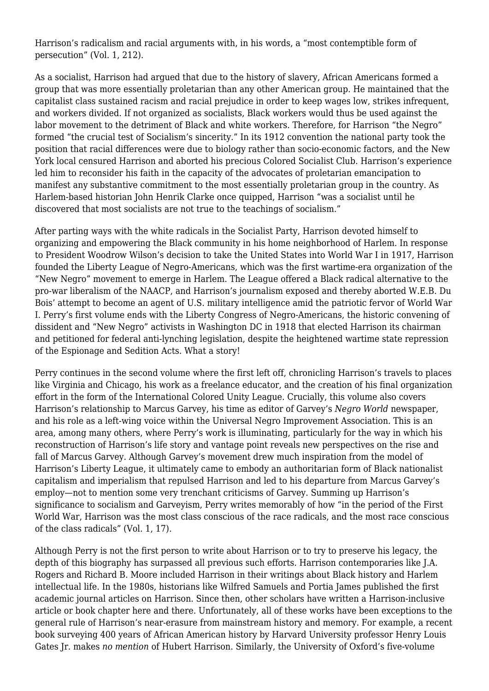Harrison's radicalism and racial arguments with, in his words, a "most contemptible form of persecution" (Vol. 1, 212).

As a socialist, Harrison had argued that due to the history of slavery, African Americans formed a group that was more essentially proletarian than any other American group. He maintained that the capitalist class sustained racism and racial prejudice in order to keep wages low, strikes infrequent, and workers divided. If not organized as socialists, Black workers would thus be used against the labor movement to the detriment of Black and white workers. Therefore, for Harrison "the Negro" formed "the crucial test of Socialism's sincerity." In its 1912 convention the national party took the position that racial differences were due to biology rather than socio-economic factors, and the New York local censured Harrison and aborted his precious Colored Socialist Club. Harrison's experience led him to reconsider his faith in the capacity of the advocates of proletarian emancipation to manifest any substantive commitment to the most essentially proletarian group in the country. As Harlem-based historian John Henrik Clarke once quipped, Harrison "was a socialist until he discovered that most socialists are not true to the teachings of socialism."

After parting ways with the white radicals in the Socialist Party, Harrison devoted himself to organizing and empowering the Black community in his home neighborhood of Harlem. In response to President Woodrow Wilson's decision to take the United States into World War I in 1917, Harrison founded the Liberty League of Negro-Americans, which was the first wartime-era organization of the "New Negro" movement to emerge in Harlem. The League offered a Black radical alternative to the pro-war liberalism of the NAACP, and Harrison's journalism exposed and thereby aborted W.E.B. Du Bois' attempt to become an agent of U.S. military intelligence amid the patriotic fervor of World War I. Perry's first volume ends with the Liberty Congress of Negro-Americans, the historic convening of dissident and "New Negro" activists in Washington DC in 1918 that elected Harrison its chairman and petitioned for federal anti-lynching legislation, despite the heightened wartime state repression of the Espionage and Sedition Acts. What a story!

Perry continues in the second volume where the first left off, chronicling Harrison's travels to places like Virginia and Chicago, his work as a freelance educator, and the creation of his final organization effort in the form of the International Colored Unity League. Crucially, this volume also covers Harrison's relationship to Marcus Garvey, his time as editor of Garvey's *Negro World* newspaper, and his role as a left-wing voice within the Universal Negro Improvement Association. This is an area, among many others, where Perry's work is illuminating, particularly for the way in which his reconstruction of Harrison's life story and vantage point reveals new perspectives on the rise and fall of Marcus Garvey. Although Garvey's movement drew much inspiration from the model of Harrison's Liberty League, it ultimately came to embody an authoritarian form of Black nationalist capitalism and imperialism that repulsed Harrison and led to his departure from Marcus Garvey's employ—not to mention some very trenchant criticisms of Garvey. Summing up Harrison's significance to socialism and Garveyism, Perry writes memorably of how "in the period of the First World War, Harrison was the most class conscious of the race radicals, and the most race conscious of the class radicals" (Vol. 1, 17).

Although Perry is not the first person to write about Harrison or to try to preserve his legacy, the depth of this biography has surpassed all previous such efforts. Harrison contemporaries like J.A. Rogers and Richard B. Moore included Harrison in their writings about Black history and Harlem intellectual life. In the 1980s, historians like Wilfred Samuels and Portia James published the first academic journal articles on Harrison. Since then, other scholars have written a Harrison-inclusive article or book chapter here and there. Unfortunately, all of these works have been exceptions to the general rule of Harrison's near-erasure from mainstream history and memory. For example, a recent book surveying 400 years of African American history by Harvard University professor Henry Louis Gates Jr. makes *no mention* of Hubert Harrison. Similarly, the University of Oxford's five-volume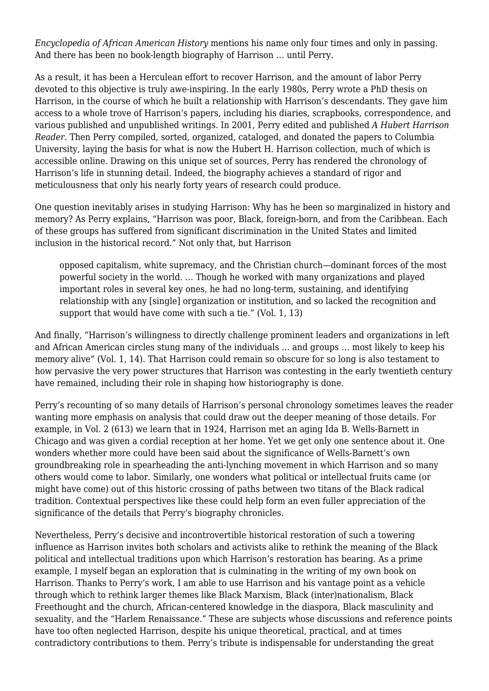*Encyclopedia of African American History* mentions his name only four times and only in passing. And there has been no book-length biography of Harrison … until Perry.

As a result, it has been a Herculean effort to recover Harrison, and the amount of labor Perry devoted to this objective is truly awe-inspiring. In the early 1980s, Perry wrote a PhD thesis on Harrison, in the course of which he built a relationship with Harrison's descendants. They gave him access to a whole trove of Harrison's papers, including his diaries, scrapbooks, correspondence, and various published and unpublished writings. In 2001, Perry edited and published *A Hubert Harrison Reader*. Then Perry compiled, sorted, organized, cataloged, and donated the papers to Columbia University, laying the basis for what is now the Hubert H. Harrison collection, much of which is accessible online. Drawing on this unique set of sources, Perry has rendered the chronology of Harrison's life in stunning detail. Indeed, the biography achieves a standard of rigor and meticulousness that only his nearly forty years of research could produce.

One question inevitably arises in studying Harrison: Why has he been so marginalized in history and memory? As Perry explains, "Harrison was poor, Black, foreign-born, and from the Caribbean. Each of these groups has suffered from significant discrimination in the United States and limited inclusion in the historical record." Not only that, but Harrison

opposed capitalism, white supremacy, and the Christian church—dominant forces of the most powerful society in the world. … Though he worked with many organizations and played important roles in several key ones, he had no long-term, sustaining, and identifying relationship with any [single] organization or institution, and so lacked the recognition and support that would have come with such a tie." (Vol. 1, 13)

And finally, "Harrison's willingness to directly challenge prominent leaders and organizations in left and African American circles stung many of the individuals … and groups … most likely to keep his memory alive" (Vol. 1, 14). That Harrison could remain so obscure for so long is also testament to how pervasive the very power structures that Harrison was contesting in the early twentieth century have remained, including their role in shaping how historiography is done.

Perry's recounting of so many details of Harrison's personal chronology sometimes leaves the reader wanting more emphasis on analysis that could draw out the deeper meaning of those details. For example, in Vol. 2 (613) we learn that in 1924, Harrison met an aging Ida B. Wells-Barnett in Chicago and was given a cordial reception at her home. Yet we get only one sentence about it. One wonders whether more could have been said about the significance of Wells-Barnett's own groundbreaking role in spearheading the anti-lynching movement in which Harrison and so many others would come to labor. Similarly, one wonders what political or intellectual fruits came (or might have come) out of this historic crossing of paths between two titans of the Black radical tradition. Contextual perspectives like these could help form an even fuller appreciation of the significance of the details that Perry's biography chronicles.

Nevertheless, Perry's decisive and incontrovertible historical restoration of such a towering influence as Harrison invites both scholars and activists alike to rethink the meaning of the Black political and intellectual traditions upon which Harrison's restoration has bearing. As a prime example, I myself began an exploration that is culminating in the writing of my own book on Harrison. Thanks to Perry's work, I am able to use Harrison and his vantage point as a vehicle through which to rethink larger themes like Black Marxism, Black (inter)nationalism, Black Freethought and the church, African-centered knowledge in the diaspora, Black masculinity and sexuality, and the "Harlem Renaissance." These are subjects whose discussions and reference points have too often neglected Harrison, despite his unique theoretical, practical, and at times contradictory contributions to them. Perry's tribute is indispensable for understanding the great